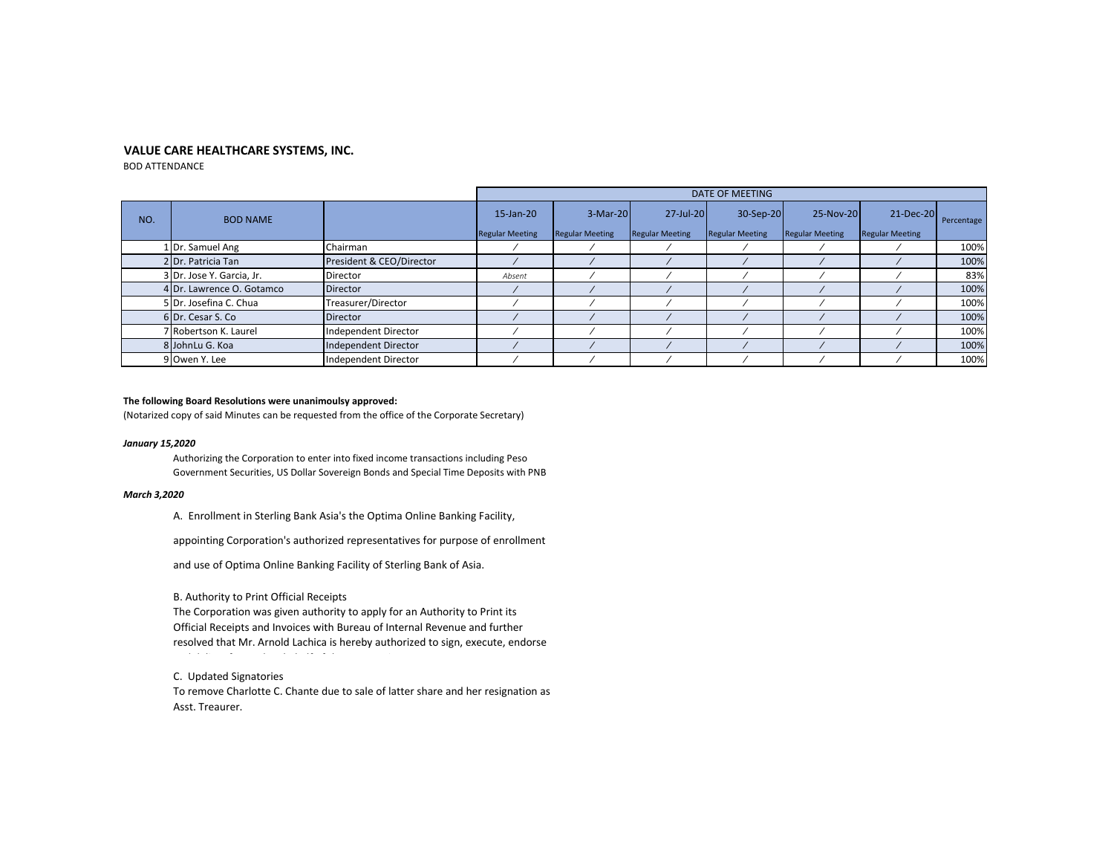# **VALUE CARE HEALTHCARE SYSTEMS, INC.**

BOD ATTENDANCE

|     |                           |                          | DATE OF MEETING                     |                                    |                                     |                                     |                                     |                                         |            |
|-----|---------------------------|--------------------------|-------------------------------------|------------------------------------|-------------------------------------|-------------------------------------|-------------------------------------|-----------------------------------------|------------|
| NO. | <b>BOD NAME</b>           |                          | 15-Jan-20<br><b>Regular Meeting</b> | 3-Mar-20<br><b>Regular Meeting</b> | 27-Jul-20<br><b>Regular Meeting</b> | 30-Sep-20<br><b>Regular Meeting</b> | 25-Nov-20<br><b>Regular Meeting</b> | $21 - Dec-20$<br><b>Regular Meeting</b> | Percentage |
|     | 1 Dr. Samuel Ang          | Chairman                 |                                     |                                    |                                     |                                     |                                     |                                         | 100%       |
|     | 2 Dr. Patricia Tan        | President & CEO/Director |                                     |                                    |                                     |                                     |                                     |                                         | 100%       |
|     | 3 Dr. Jose Y. Garcia, Jr. | Director                 | Absent                              |                                    |                                     |                                     |                                     |                                         | 83%        |
|     | 4 Dr. Lawrence O. Gotamco | <b>Director</b>          |                                     |                                    |                                     |                                     |                                     |                                         | 100%       |
|     | 5 Dr. Josefina C. Chua    | Treasurer/Director       |                                     |                                    |                                     |                                     |                                     |                                         | 100%       |
|     | 6 Dr. Cesar S. Co         | <b>Director</b>          |                                     |                                    |                                     |                                     |                                     |                                         | 100%       |
|     | 7 Robertson K. Laurel     | Independent Director     |                                     |                                    |                                     |                                     |                                     |                                         | 100%       |
|     | 8 JohnLu G. Koa           | Independent Director     |                                     |                                    |                                     |                                     |                                     |                                         | 100%       |
|     | 9 Owen Y. Lee             | Independent Director     |                                     |                                    |                                     |                                     |                                     |                                         | 100%       |

## **The following Board Resolutions were unanimoulsy approved:**

(Notarized copy of said Minutes can be requested from the office of the Corporate Secretary)

# *January 15,2020*

Authorizing the Corporation to enter into fixed income transactions including Peso Government Securities, US Dollar Sovereign Bonds and Special Time Deposits with PNB

# *March 3,2020*

A. Enrollment in Sterling Bank Asia's the Optima Online Banking Facility,

appointing Corporation's authorized representatives for purpose of enrollment

and use of Optima Online Banking Facility of Sterling Bank of Asia.

B. Authority to Print Official Receipts

The Corporation was given authority to apply for an Authority to Print its Official Receipts and Invoices with Bureau of Internal Revenue and further resolved that Mr. Arnold Lachica is hereby authorized to sign, execute, endorse

C. Updated Signatories

To remove Charlotte C. Chante due to sale of latter share and her resignation as Asst. Treaurer.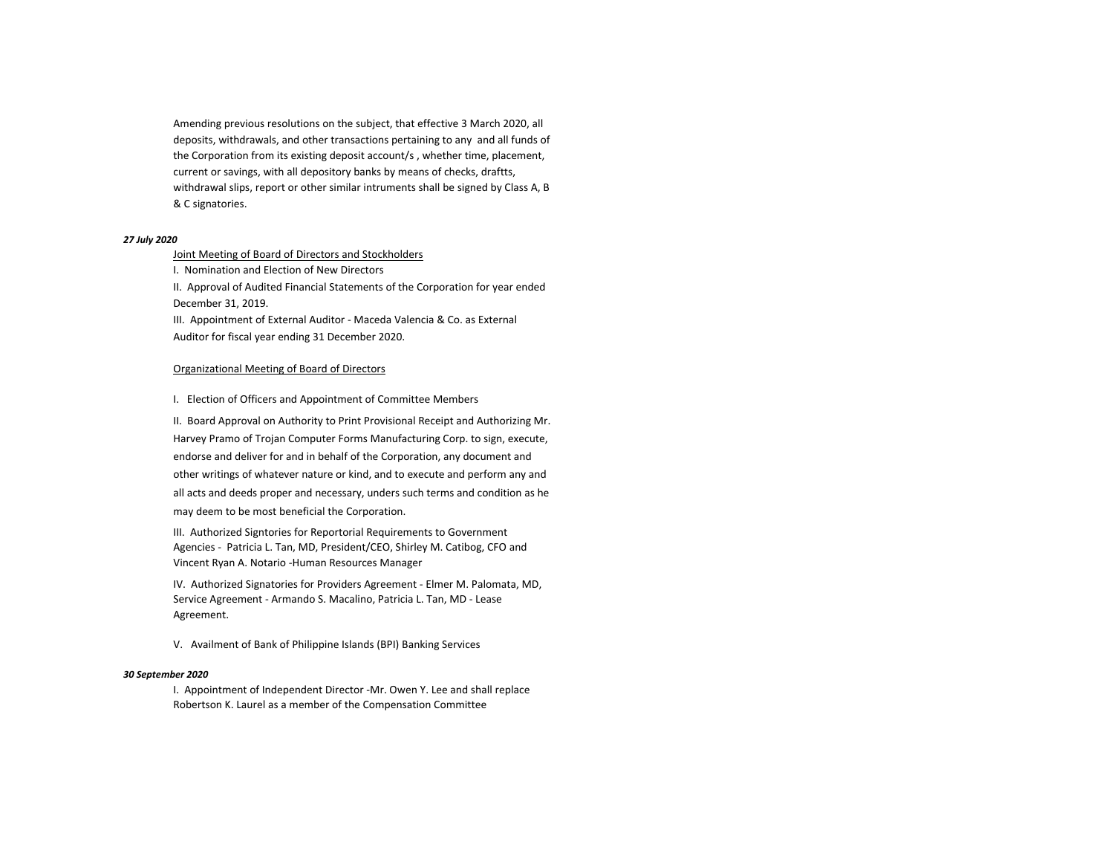Amending previous resolutions on the subject, that effective 3 March 2020, all deposits, withdrawals, and other transactions pertaining to any and all funds of the Corporation from its existing deposit account/s , whether time, placement, current or savings, with all depository banks by means of checks, draftts, withdrawal slips, report or other similar intruments shall be signed by Class A, B & C signatories.

## *27 July 2020*

# Joint Meeting of Board of Directors and Stockholders

I. Nomination and Election of New Directors

II. Approval of Audited Financial Statements of the Corporation for year ended December 31, 2019.

III. Appointment of External Auditor - Maceda Valencia & Co. as External Auditor for fiscal year ending 31 December 2020.

# Organizational Meeting of Board of Directors

I. Election of Officers and Appointment of Committee Members

II. Board Approval on Authority to Print Provisional Receipt and Authorizing Mr. Harvey Pramo of Trojan Computer Forms Manufacturing Corp. to sign, execute, endorse and deliver for and in behalf of the Corporation, any document and other writings of whatever nature or kind, and to execute and perform any and all acts and deeds proper and necessary, unders such terms and condition as he may deem to be most beneficial the Corporation.

III. Authorized Signtories for Reportorial Requirements to Government Agencies - Patricia L. Tan, MD, President/CEO, Shirley M. Catibog, CFO and Vincent Ryan A. Notario -Human Resources Manager

IV. Authorized Signatories for Providers Agreement - Elmer M. Palomata, MD, Service Agreement - Armando S. Macalino, Patricia L. Tan, MD - Lease Agreement.

V. Availment of Bank of Philippine Islands (BPI) Banking Services

## *30 September 2020*

I. Appointment of Independent Director -Mr. Owen Y. Lee and shall replace Robertson K. Laurel as a member of the Compensation Committee